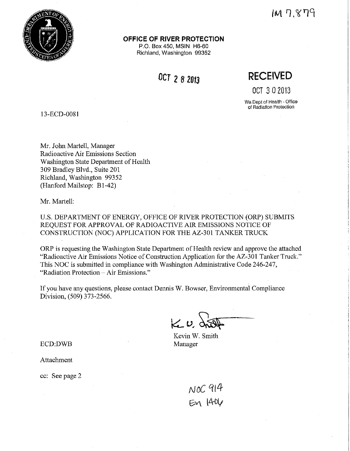

#### **OFFICE OF RIVER PROTECTION**

P.O. Box 450, MSIN H6-60 Richland, Washington 99352

**OCT 2 8 2013** 

**RECEIVED** 

OCT 3 0 2013

Wa Dept of Health - Office **of Radiation Protection** 

13-ECD-0081

Mr. John Martell, Manager Radioactive Air Emissions Section Washington State Department of Health 309 Bradley Blvd., Suite 201 Richland, Washington 99352 (Hanford Mailstop: B1-42)

Mr. Martell:

U.S. DEPARTMENT OF ENERGY, OFFICE OF RIVER PROTECTION (ORP) SUBMITS REQUEST FOR APPROVAL OF RADIOACTIVE AIR EMISSIONS NOTICE OF CONSTRUCTION (NOC) APPLICATION FOR THE AZ-301 TANKER TRUCK

ORP is requesting the Washington State Department of Health review and approve the attached "Radioactive Air Emissions Notice of Construction Application for the AZ-301 Tanker Truck." This NOC is submitted in compliance with Washington Administrative Code 246-247, "Radiation Protection - Air Emissions."

If you have any questions, please contact Dennis W. Bowser, Environmental Compliance Division, (509) 373-2566.

 $K_{\nu}$ 

Kevin W. Smith Manager

ECD:DWB

Attachment

cc: See page 2

NOC 914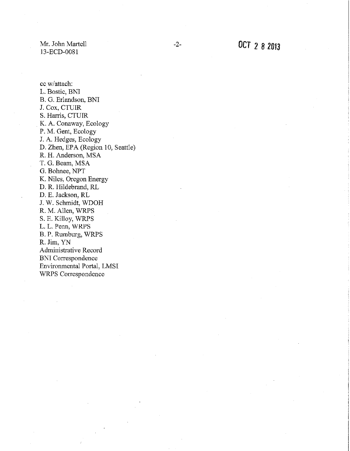Mr. John Martell 13-ECD-0081

L. L. Penn, WRPS B. P. Rumburg, WRPS

Administrative Record BNI Correspondence

Environmental Portal, LMSI WRPS Correspondence

R. Jim, YN

cc w/attach: L. Bostic, BNI B. G. Erlandson, BNI J. Cox, CTUIR S. Harris, CTUIR K. A. Conaway, Ecology P. M. Gent, Ecology J. A. Hedges, Ecology D. Zhen, EPA (Region 10, Seattle) R. H. Anderson, MSA T. G. Beam, MSA G. Bohnee, NPT K. Niles, Oregon Energy D.R. Hildebrand, RL D. E. Jackson, RL J. W. Schmidt, WDOH R. M. Allen, WRPS S. E. Killoy, WRPS

-2- OCT 2 *8 2013*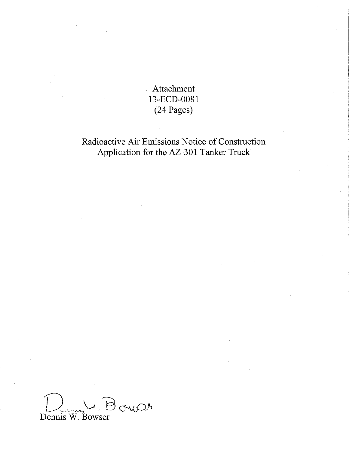Attachment 13-ECD-0081 (24 Pages)

Radioactive Air Emissions Notice of Construction Application for the AZ-301 Tanker Truck

oup Dennis W. Bowser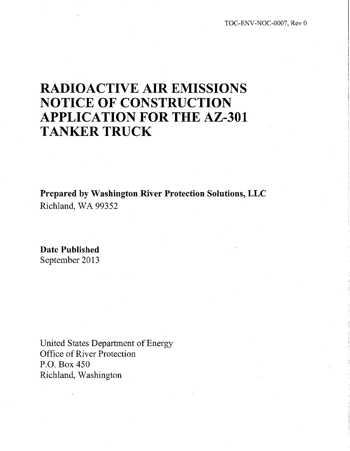## **RADIOACTIVE AIR EMISSIONS NOTICE OF CONSTRUCTION APPLICATION FOR THE AZ-301 TANKER TRUCK**

**Prepared by Washington River Protection Solutions, LLC**  Richland, WA 99352

**Date Published**  September 2013

United States Department of Energy Office of River Protection P.O. Box 450 Richland, Washington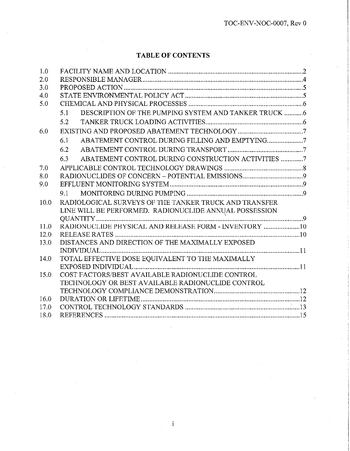## **TABLE OF CONTENTS**

| 1.0  |                                                             |
|------|-------------------------------------------------------------|
| 2.0  |                                                             |
| 3.0  |                                                             |
| 4.0  |                                                             |
| 5.0  |                                                             |
|      | DESCRIPTION OF THE PUMPING SYSTEM AND TANKER TRUCK 6<br>5.1 |
|      | 5.2                                                         |
| 6.0  |                                                             |
|      | 6.1                                                         |
|      | 6.2                                                         |
|      | ABATEMENT CONTROL DURING CONSTRUCTION ACTIVITIES 7<br>6.3   |
| 7.0  |                                                             |
| 8.0  |                                                             |
| 9.0  |                                                             |
|      | 9.1                                                         |
| 10.0 | RADIOLOGICAL SURVEYS OF THE TANKER TRUCK AND TRANSFER       |
|      | LINE WILL BE PERFORMED. RADIONUCLIDE ANNUAL POSSESSION      |
|      |                                                             |
| 11.0 | RADIONUCLIDE PHYSICAL AND RELEASE FORM - INVENTORY 10       |
| 12.0 |                                                             |
| 13.0 | DISTANCES AND DIRECTION OF THE MAXIMALLY EXPOSED            |
|      | IDIVIDUAL                                                   |
| 14.0 | TOTAL EFFECTIVE DOSE EQUIVALENT TO THE MAXIMALLY            |
|      |                                                             |
| 15.0 | COST FACTORS/BEST AVAILABLE RADIONUCLIDE CONTROL            |
|      | TECHNOLOGY OR BEST AVAILABLE RADIONUCLIDE CONTROL           |
|      |                                                             |
| 16.0 |                                                             |
| 17.0 |                                                             |
| 18.0 |                                                             |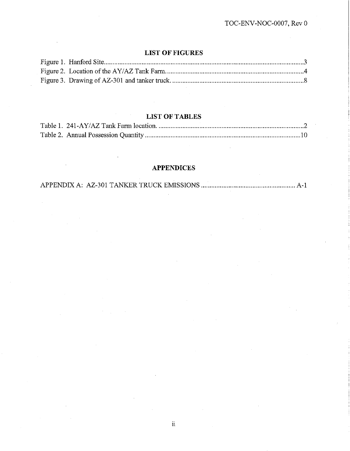## **LIST OF FIGURES**

## **LIST OF TABLES**

## **APPENDICES**

APPENDIX A: AZ-301 TANKER TRUCK EMISSIONS ....................................................... A-1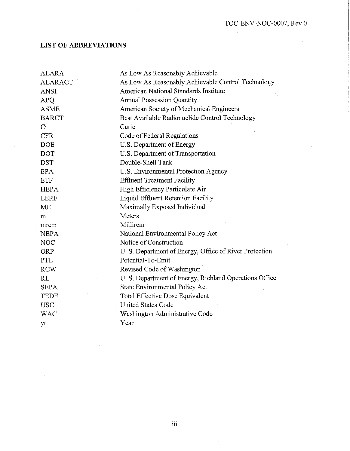## **LIST OF ABBREVIATIONS**

| <b>ALARA</b>   | As Low As Reasonably Achievable                        |
|----------------|--------------------------------------------------------|
| <b>ALARACT</b> | As Low As Reasonably Achievable Control Technology     |
| <b>ANSI</b>    | American National Standards Institute                  |
| <b>APO</b>     | Annual Possession Quantity                             |
| <b>ASME</b>    | American Society of Mechanical Engineers               |
| <b>BARCT</b>   | Best Available Radionuclide Control Technology         |
| Ci             | Curie                                                  |
| <b>CFR</b>     | Code of Federal Regulations                            |
| <b>DOE</b>     | U.S. Department of Energy                              |
| DOT            | U.S. Department of Transportation                      |
| <b>DST</b>     | Double-Shell Tank                                      |
| EPA.           | U.S. Environmental Protection Agency                   |
| <b>ETF</b>     | <b>Effluent Treatment Facility</b>                     |
| <b>HEPA</b>    | High Efficiency Particulate Air                        |
| <b>LERF</b>    | Liquid Effluent Retention Facility                     |
| <b>MEI</b>     | Maximally Exposed Individual                           |
| m              | Meters                                                 |
| mrem           | Millirem                                               |
| <b>NEPA</b>    | National Environmental Policy Act                      |
| <b>NOC</b>     | Notice of Construction                                 |
| ORP            | U. S. Department of Energy, Office of River Protection |
| <b>PTE</b>     | Potential-To-Emit                                      |
| <b>RCW</b>     | Revised Code of Washington                             |
| RL             | U. S. Department of Energy, Richland Operations Office |
| <b>SEPA</b>    | State Environmental Policy Act                         |
| TEDE           | Total Effective Dose Equivalent                        |
| <b>USC</b>     | <b>United States Code</b>                              |
| <b>WAC</b>     | Washington Administrative Code                         |
| yr             | Year                                                   |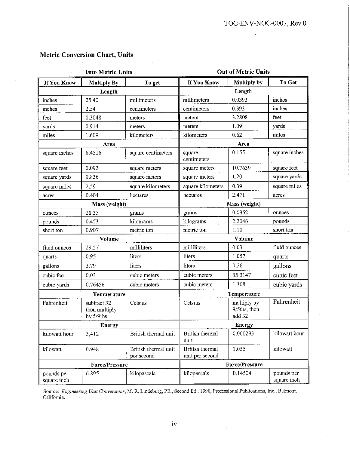|  | <b>Metric Conversion Chart, Units</b> |  |  |
|--|---------------------------------------|--|--|
|--|---------------------------------------|--|--|

|                           | <b>Into Metric Units</b>                  |                                    | <b>Out of Metric Units</b>         |                                       |                           |  |  |  |
|---------------------------|-------------------------------------------|------------------------------------|------------------------------------|---------------------------------------|---------------------------|--|--|--|
| If You Know               | <b>Multiply By</b>                        | To get                             | If You Know                        | <b>Multiply by</b>                    | To Get                    |  |  |  |
|                           | Length                                    |                                    |                                    | Length                                |                           |  |  |  |
| inches                    | 25.40                                     | millimeters                        | millimeters                        | 0.0393                                | inches                    |  |  |  |
| inches                    | 2.54                                      | centimeters                        | centimeters                        | 0.393                                 | inches                    |  |  |  |
| feet                      | 0.3048                                    | meters                             | meters                             | 3.2808                                | feet                      |  |  |  |
| yards                     | 0.914                                     | meters                             | meters                             | 1.09                                  | yards                     |  |  |  |
| miles                     | 1.609                                     | kilometers                         | kilometers                         | 0.62                                  | miles                     |  |  |  |
|                           | Area                                      |                                    |                                    | Area                                  |                           |  |  |  |
| square inches             | 6.4516                                    | square centimeters                 | square<br>centimeters              | 0.155                                 | square inches             |  |  |  |
| square feet               | 0.092                                     | square meters                      | square meters                      | 10.7639                               | square feet               |  |  |  |
| square yards              | 0.836                                     | square meters                      | square meters                      | 1.20                                  | square yards              |  |  |  |
| square miles              | 2.59                                      | square kilometers                  | square kilometers                  | 0.39                                  | square miles              |  |  |  |
| acres                     | 0.404                                     | hectares                           | hectares                           | 2.471                                 | acres                     |  |  |  |
|                           | Mass (weight)                             |                                    | Mass (weight)                      |                                       |                           |  |  |  |
| ounces                    | 28.35                                     | grams                              | grams                              | 0.0352                                | ounces                    |  |  |  |
| pounds                    | 0.453                                     | kilograms                          | kilograms                          | 2.2046                                | pounds                    |  |  |  |
| short ton                 | 0.907                                     | metric ton                         | metric ton                         | 1.10                                  | short ton                 |  |  |  |
|                           | Volume                                    |                                    | Volume                             |                                       |                           |  |  |  |
| fluid ounces              | 29.57                                     | milliliters                        | milliliters                        | 0.03                                  | fluid ounces              |  |  |  |
| quarts                    | 0.95                                      | liters                             | liters                             | 1.057                                 | quarts                    |  |  |  |
| gallons                   | 3.79.                                     | liters                             | liters                             | 0.26                                  | gallons                   |  |  |  |
| cubic feet                | 0.03                                      | cubic meters                       | cubic meters                       | 35.3147                               | cubic feet                |  |  |  |
| cubic yards               | 0.76456                                   | cubic meters                       | cubic meters                       | 1.308                                 | cubic yards               |  |  |  |
|                           | Temperature                               |                                    |                                    | Temperature                           |                           |  |  |  |
| Fahrenheit                | subtract 32<br>then multiply<br>by 5/9ths | Celsius                            | Celsius                            | multiply by<br>9/5ths, then<br>add 32 | Fahrenheit                |  |  |  |
|                           | <b>Energy</b>                             |                                    |                                    | <b>Energy</b>                         |                           |  |  |  |
| kilowatt hour             | 3,412                                     | British thermal unit               | British thermal<br>unit            | 0.000293                              | kilowatt hour             |  |  |  |
| kilowatt                  | 0.948                                     | British thermal unit<br>per second | British thermal<br>unit per second | 1.055                                 | kilowatt                  |  |  |  |
|                           | <b>Force/Pressure</b>                     |                                    |                                    | <b>Force/Pressure</b>                 |                           |  |  |  |
| pounds per<br>square inch | 6.895                                     | kilopascals                        | kilopascals                        | 0.14504                               | pounds per<br>square inch |  |  |  |

Source: *Engineering Unit Conversions,* M. R Lindeburg, PE., Second Ed., 1990, Professional Publications, lnc., Belmont, California.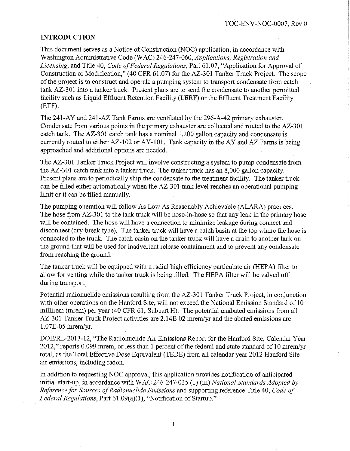#### **INTRODUCTION**

This document serves as a Notice of Construction (NOC) application, in accordance with Washington Administrative Code (WAC) 246-247-060, *Applications, Registration and Licensing,* and Title 40, *Code of Federal Regulations,* Part 61.07, "Application for Approval of Construction or Modification," (40 CFR 61.07) for the AZ-301 Tanker Truck Project. The scope of the project is to construct and operate a pumping system to transport condensate from catch tank AZ-301 into a tanker truck. Present plans are to send the condensate to another permitted facility such as Liquid Effluent Retention Facility (LERF) or the Effluent Treatment Facility (ETF).

The 241-AY and 241-AZ Tank Farms are ventilated by the 296-A-42 primary exhauster. Condensate from various points in the primary exhauster are collected and routed to the AZ-301 catch tank. The AZ-301 catch tank has a nominal 1,200 gallon capacity and condensate is currently routed to either  $AZ-102$  or  $AY-101$ . Tank capacity in the AY and AZ Farms is being approached and additional options are needed.

The AZ-301 Tanker Truck Project will involve constructing a system to pump condensate from the AZ-301 catch tank into a tanker truck. The tanker truck has an 8,000 gallon capacity. Present plans are to periodically ship the condensate to the treatment facility. The tanker truck can be filled either automatically when the AZ-301 tank level reaches an operational pumping limit or it can be filled manually.

The pumping operation will follow As Low As Reasonably Achievable (ALARA) practices. The hose from AZ-301 to the tank truck will be hose-in-hose so that any leak in the primary hose will be contained. The hose will have a connection to minimize leakage during connect and disconnect (dry-break type). The tanker truck will have a catch basin at the top where the hose is connected to the truck. The catch basin on the tanker truck will have a drain to another tank on the ground that will be used for inadvertent release containment and to prevent any condensate from reaching the ground.

The tanker truck will be equipped with a radial high efficiency particulate air (HEP A) filter to allow for venting while the tanker truck is being filled. The HEPA filter will be valved off during transport.

Potential radionuclide emissions resulting from the AZ-301 Tanker Truck Project, in conjunction with other operations on the Hanford Site, will not exceed the National Emission Standard of 10 millirem (mrem) per year (40 CFR 61, Subpart H). The potential unabated emissions from all AZ-301 Tanker Truck Project activities are 2.14E-02 mrem/yr and the abated emissions are l.07E-05 mrem/yr.

DOE/RL-2013-12, "The Radionuclide Air Emissions Report for the Hanford Site, Calendar Year 2012," reports 0.099 mrem, or less than 1 percent of the federal and state standard of 10 mrem/yr total, as the Total Effective Dose Equivalent (TEDE) from all calendar year 2012 Hanford Site air emissions, including radon.

In addition to requesting NOC approval, this application provides notification of anticipated initial start-up, in accordance with WAC 246-247-035 (1) (iii) *National Standards Adopted by Reference for Sources a/Radionuclide Emissions* and supporting reference Title 40, *Code of Federal Regulations,* Part 61.09(a)(l ), "Notification of Startup."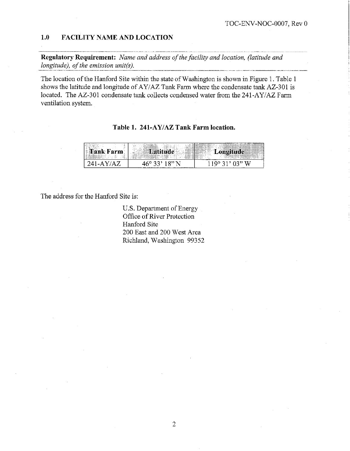#### **1.0 FACILITY NAME AND LOCATION**

1.0 FACILITY NAME AND LOCATION<br>**Regulatory Requirement:** *Name and address of the facility and location, (latitude and longitude), of the emission unit(s).* 

The location of the Hanford Site within the state of Washington is shown in Figure 1. Table 1 shows the latitude and longitude of AY/AZ Tank Farm where the condensate tank AZ-301 is located. The AZ-301 condensate tank collects condensed water from the 241-AY/AZ Farm ventilation system.

| $\sim$<br>.<br>$\mathbf{a}$<br>$-111$<br>inger (beild der Porter<br><b>STA</b><br><br>$\equiv$<br>$-$ . As a contract the contract experiments of $\sim$<br>-ser<br>$\cdots$<br>.<br><br><br>THE ANNUAL MANUFACTURE OF THE ANNUAL<br><br><b>COLOR</b> | .<br>-22<br>. .<br>a manager<br><b>All 200</b><br>$\sim$<br>$\sim$<br>1.1.1.1<br><br>.<br>.<br><br>-<br>.<br>$\sim$ $\sim$ $\sim$ $\sim$ $\sim$<br><br>,,,,,,,,,,,,,,,,,,,,,,,,,,,,,,<br>-----------<br>- 52<br>---<br><br>71 L<br>-<br>market in the com-<br><b>CONTRACTOR</b><br>$ -  $<br>.<br><br>$\sim$<br>$-1$<br>$   -$<br>$\sim$<br>$-$<br><br>$-1111$<br>property in concentration<br><b>HALLISTS</b><br><b>CONTRACTOR</b><br><b>STATISTICS</b><br><b><i><u>Property Statistics</u></i></b><br>талинин<br>-----<br>.<br><br>-- -<br><br>.<br>$ -$<br>.<br>---------------<br>$\sim$ $\sim$ $\sim$ $\sim$ $\sim$<br>-----------------<br>.<br>and the second<br><b>A STAR</b><br><b>SECTION</b><br>----<br>.<br>÷<br>.<br>and the control<br>. .<br>.<br>----- | on a secondar charged to compare the compared of the first<br><b><i><u>All and</u></i></b><br>------------------<br>------------------<br>-------------<br><br><br>$\cdots$<br>.<br>$-1111$<br>.<br>.<br>.<br><b>The Lead of Contract</b><br>shop of the Alliance<br>.<br><br><br><br><br>---<br><b><i><u>Property</u></i></b><br><b><i><u>Press In the Community of the Community of the Community of the Community of the Community of the Community of the Community of the Community of the Community of the Community of the Community of the Community of the Co</u></i></b><br><b>THE SUBSIDIARY OF</b><br>$ -$<br>and a<br>$\cdots$<br><b>SHOPPER</b><br>--------- |
|-------------------------------------------------------------------------------------------------------------------------------------------------------------------------------------------------------------------------------------------------------|------------------------------------------------------------------------------------------------------------------------------------------------------------------------------------------------------------------------------------------------------------------------------------------------------------------------------------------------------------------------------------------------------------------------------------------------------------------------------------------------------------------------------------------------------------------------------------------------------------------------------------------------------------------------------------------------------------------------------------------------------------------------|----------------------------------------------------------------------------------------------------------------------------------------------------------------------------------------------------------------------------------------------------------------------------------------------------------------------------------------------------------------------------------------------------------------------------------------------------------------------------------------------------------------------------------------------------------------------------------------------------------------------------------------------------------------------------|
|                                                                                                                                                                                                                                                       |                                                                                                                                                                                                                                                                                                                                                                                                                                                                                                                                                                                                                                                                                                                                                                        | ີ                                                                                                                                                                                                                                                                                                                                                                                                                                                                                                                                                                                                                                                                          |

The address for the Hanford Site is:

U.S. Department of Energy Office of River Protection Hanford Site 200 East and 200 West Area Richland, Washington 99352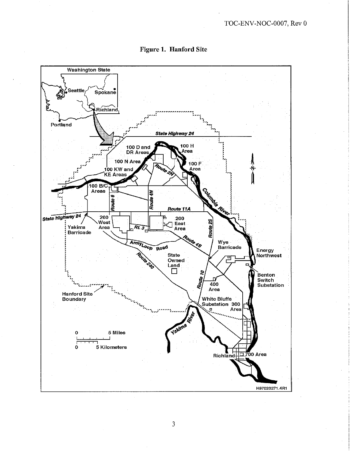

**Figure 1. Hanford Site**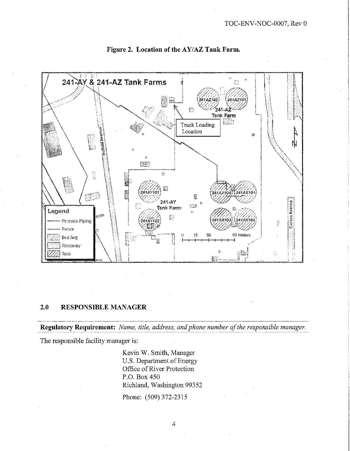

**Figure 2. Location of the AY/AZ Tank Farm.** 

## **2.0 RESPONSIBLE MANAGER**

**Regulatory Requirement:** *Name, title, address, and phone number of the responsible manager.* 

The responsible facility manager is:

Kevin W. Smith, Manager U.S. Department of Energy Office of River Protection P.O. Box 450 Richland, Washington 99352

Phone: (509) 372-2315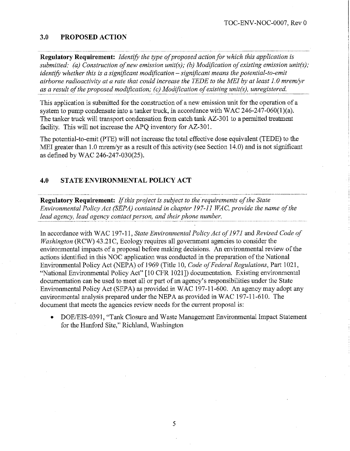#### **3.0 PROPOSED ACTION**

**Regulatory Requirement:** *Identify the type of proposed action for which this application is submitted: (a) Construction of new emission unit(s); (b) Modification of existing emission unit(s); identify whether this is a significant modification – significant means the potential-to-emit airborne radioactivity at a rate that could increase the TEDE to the MEI by at least 1. 0 mrem/yr as a result of the proposed modification; (c) Modification of existing unit(s), unregistered.* 

This application is submitted for the construction of a new emission unit for the operation of a system to pump condensate into a tanker truck, in accordance with WAC 246-247-060(1)(a). The tanker truck will transport condensation from catch tank AZ-301 to a permitted treatment facility. This will not increase the APQ inventory for AZ-301.

The potential-to-emit (PTE) will not increase the total effective dose equivalent (TEDE) to the MEI greater than 1.0 mrem/yr as a result of this activity (see Section 14.0) and is not significant as defined by WAC 246-247-030(25).

#### **4.0 STATE ENVIRONMENTAL POLICY ACT**

**Regulatory Requirement:** *If this project is subject to the requirements of the State Environmental Policy Act (SEPA) contained in chapter 197-11 WAC, provide the name of the lead agency, lead agency contact person, and their phone number.* -- -- - - - ---------------------------------- --------------

In accordance with WAC 197-11, *State Environmental Policy Act of 1971* and *Revised Code of Washington* (RCW) 43.21C, Ecology requires all government agencies to consider the environmental impacts of a proposal before making decisions. An environmental review of the actions identified in this NOC application was conducted in the preparation of the National Enviromnental Policy Act (NEPA) of 1969 (Title 10, *Code of Federal Regulations,* Part 1021, "National Environmental Policy Act" [10 CFR 1021]) documentation. Existing enviromnental documentation can be used to meet all or part of an agency's responsibilities under the State Enviromnental Policy Act (SEPA) as provided in WAC 197-11-600. An agency may adopt any environmental analysis prepared under the NEPA as provided in WAC 197-11-610. The document that meets the agencies review needs for the current proposal is:

• DOE/EIS-0391, "Tank Closure and Waste Management Environmental Impact Statement for the Hanford Site," Richland, Washington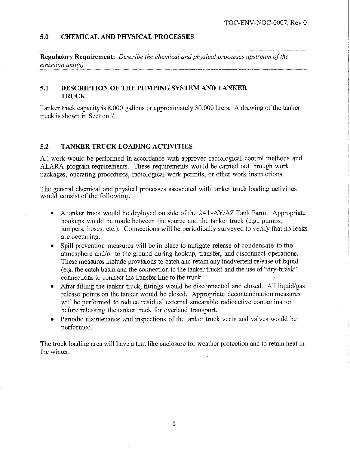#### **5.0 CHEMICAL AND PHYSICAL PROCESSES**

**Regulatory Requirement:** *Describe the chemical and physical processes upstream of the emission unit(s).* 

#### **5.1 DESCRIPTION OF THE PUMPING SYSTEM AND TANKER TRUCK**

Tanker truck capacity is 8,000 gallons or approximately 30,000 liters. A drawing of the tanker truck is shown in Section 7.

#### **5.2 TANKER TRUCK LOADING ACTIVITIES**

All work would be performed in accordance with approved radiological control methods and ALARA program requirements. These requirements would be carried out through work packages, operating procedures, radiological work permits, or other work instructions.

The general chemical and physical processes associated with tanker truck loading activities would consist of the following.

- A tanker truck would be deployed outside of the 241-AY/AZ Tank Farm. Appropriate hookups would be made between the source and the tanker truck (e.g., pumps, jumpers, hoses, etc.). Connections will be periodically surveyed to verify that no leaks are occurring.
- Spill prevention measures will be in place to mitigate release of condensate to the atmosphere and/or to the ground during hookup, transfer, and disconnect operations. These measures include provisions to catch and retain any inadvertent release of liquid ( e.g. the catch basin and the connection to the tanker truck) and the use of "dry-break" connections to connect the transfer line to the truck.
- After filling the tanker truck, fittings would be disconnected and closed. All liquid/gas release points on the tanker would be closed. Appropriate decontamination measures will be performed to reduce residual external smearable radioactive contamination before releasing the tanker truck for overland transport.
- Periodic maintenance and inspections of the tanker truck vents and valves would be performed.

The truck loading area will have a tent like enclosure for weather protection and to retain heat in the winter.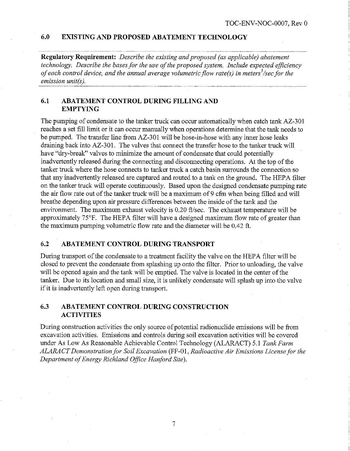#### **6.0 EXISTING AND PROPOSED ABATEMENT TECHNOLOGY**

**Regulatory Requirement:** *Describe the existing and proposed (as applicable) abatement technology. Describe the bases for the use of the proposed system. Include expected efficiency of each control device, and the annual average volumetric flow rate(s) in meters<sup>3</sup>/sec for the emission unit(s).* 

### **6.1 ABATEMENT CONTROL DURING FILLING AND EMPTYING**

The pumping of condensate to the tanker truck can occur automatically when catch tank AZ-301 reaches a set fill limit or it can occur manually when operations determine that the tank needs to be pumped. The transfer line from AZ-301 will be hose-in-hose with any inner hose leaks draining back into AZ-301. The valves that connect the transfer hose to the tanker truck will have "dry-break" valves to minimize the amount of condensate that could potentially inadvertently released during the connecting and disconnecting operations. At the top of the tanker truck where the hose connects to tanker truck a catch basin surrounds the connection so that any inadvertently released are captured and routed to a tank on the ground. The HEPA filter on the tanker truck will operate continuously. Based upon the designed condensate pumping rate the air flow rate out of the tanker truck will be a maximum of 9 cfm when being filled and will breathe depending upon air pressure differences between the inside of the tank and the environment. The maximum exhaust velocity is  $0.20$  ft/sec. The exhaust temperature will be approximately 75°F. The HEPA filter will have a designed maximum flow rate of greater than the maximum pumping volumetric flow rate and the diameter will be 0.42 ft.

#### **6.2 ABATEMENT CONTROL DURING TRANSPORT**

During transport of the condensate to a treatment facility the valve on the HEPA filter will be closed to prevent the condensate from splashing up onto the filter. Prior to unloading, the valve will be opened again and the tank will be emptied. The valve is located in the center of the tanker. Due to its location and small size, it is unlikely condensate will splash up into the valve if it is inadvertently left open during transport.

#### **6.3 ABATEMENT CONTROL DURING CONSTRUCTION ACTIVITIES**

During construction activities the only source of potential radionuclide emissions will be from excavation activities. Emissions and controls during soil excavation activities will be covered under As Low As Reasonable Achievable Control Technology (ALARACT) 5.1 *Tank Farm ALARA CT Demonstration for Soil Excavation* (FF-01, *Radioactive Air Emissions License for the Department of Energy Richland Office Hanford Site).*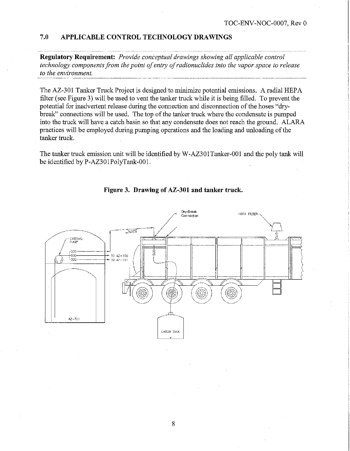#### **7.0 APPLICABLE CONTROL TECHNOLOGY DRAWINGS**

**Regulatory Requirement:** *Provide conceptual drawings showing all applicable control technology components from the point of entry of radionuclides into the vapor space to release*<br> *to the environment.* 

The AZ-301 Tanker Truck Project is designed to minimize potential emissions. A radial HEPA filter (see Figure 3) will be used to vent the tanker truck while it is being filled. To prevent the potential for inadvertent release during the connection and disconnection of the hoses "drybreak" connections will be used. The top of the tanker truck where the condensate is pumped into the truck will have a catch basin so that any condensate does not reach the ground. ALARA practices will be employed during pumping operations and the loading and unloading of the tanker truck.

The tanker truck emission unit will be identified by W-AZ301 Tanker-001 and the poly tank will be identified by P-AZ301PolyTank-001.



**Figure 3. Drawing of AZ-301 and tanker truck.**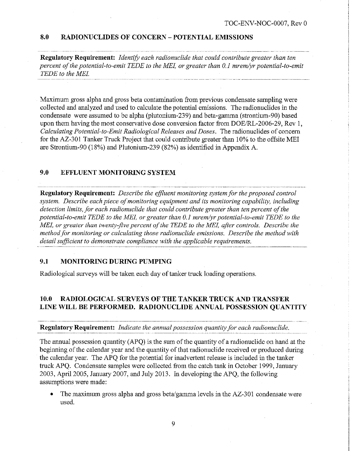#### **8.0 RADIONUCLIDES OF CONCERN - POTENTIAL EMISSIONS**

**Regulatory Requirement:** *Identify each radionuclide that could contribute greater than ten percent of the potential-to-emit TEDE to the MEI, or greater than 0.1 mrem/yr potential-to-emit TEDE to the MEI.* 

Maximum gross alpha and gross beta contamination from previous condensate sampling were collected and analyzed and used to calculate the potential emissions. The radionuclides in the condensate were assumed to be alpha (plutonium-239) and beta-gamma (strontium-90) based upon them having the most conservative dose conversion factor from DOE/RL-2006-29, Rev 1, *Calculating Potential-to-Emit Radiological Releases and Doses.* The radionuclides of concern for the AZ-301 Tanker Truck Project that could contribute greater than 10% to the offsite MEI are Strontium-90 (18%) and Plutonium-239 (82%) as identified in Appendix A.

#### **9.0 EFFLUENT MONITORING SYSTEM**

**Regulatory Requirement:** *Describe the effluent monitoring system for the proposed control system. Describe each piece of monitoring equipment and its monitoring capability, including detection limits, for each radionuclide that could contribute greater than ten percent of the potential-to-emit TEDE to the MEL or greater than 0.1 mrem/yr potential-to-emit TEDE to the MEI, or greater than twenty-five percent of the TEDE to the MEI, after controls. Describe the method for monitoring or calculating those radionuclide emissions. Describe the method with detail sufficient to demonstrate compliance with the applicable requirements.* 

#### **9.1 MONITORING DURING PUMPING**

Radiological surveys will be taken each day of tanker truck loading operations.

# **10.0 RADIOLOGICAL SURVEYS OF THE TANKER TRUCK AND TRANSFER LINE WILL BE PERFORMED. RADIONUCLIDE ANNUAL POSSESSION QUANTITY**  ---------- ------------------- \_\_\_\_\_\_\_\_\_\_\_\_ ., \_\_\_\_\_\_\_\_\_\_\_\_\_\_\_\_\_ --~ ----------- ---- -------- -- ........ .... •........ ....• ... .......•

#### **Regulatory Requirement:** *Indicate the annual possession quantity for each radionuclide.*

The annual possession quantity (APQ) is the sum of the quantity of a radionuclide on hand at the beginning of the calendar year and the quantity of that radionuclide received or produced during the calendar year. The APQ for the potential for inadvertent release is included in the tanker truck APQ. Condensate samples were collected from the catch tank in October 1999, January 2003, April 2005, January 2007, and July 2013. In developing the APQ, the following assumptions were made:

• The maximum gross alpha and gross beta/gamma levels in the AZ-301 condensate were used.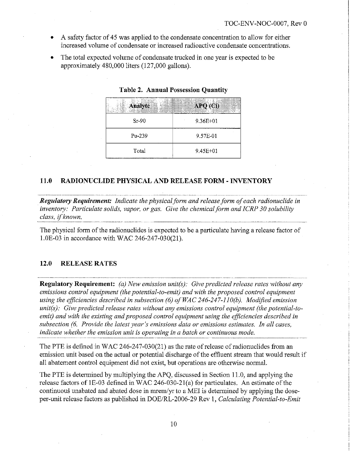- A safety factor of 45 was applied to the condensate concentration to allow for either increased volume of condensate or increased radioactive condensate concentrations.
- The total expected volume of condensate trucked in one year is expected to be approximately 480,000 liters (127,000 gallons).

| <b>Analyte</b> | APQ (Ci)     |
|----------------|--------------|
| $Sr-90$        | $9.36E + 01$ |
| Pu-239         | 9.57E-01     |
| Total          | $9.45E + 01$ |

#### **Table 2. Annual Possession Quantity**

#### **11.0 RADIONUCLIDE PHYSICAL AND RELEASE FORM** - **INVENTORY**

*Regulatory Requirement: Indicate the physical form and release form of each radionuclide in inventory: Particulate solids, vapor, or gas. Give the chemical form and ICRP 30 solubility class, ifknown.* 

The physical form of the radionuclides is expected to be a particulate having a release factor of l.OE-03 in accordance with WAC 246-247-030(21).

#### 12.0 RELEASE RATES

**Regulatory Requirement:** *(a) New emission unit(s): Give predicted release rates without any emissions control equipment (the potential-to-emit) and with the proposed control equipment using the efficiencies described in subsection (6) of WAC 246-247-ll0(b). Modified emission unit(s): Give predicted release rates without any emissions control equipment (the potential-toemit) and with the existing and proposed control equipment using the efficiencies described in subsection (6. Provide the latest year's emissions data or emissions estimates. In all cases, indicate whether the emission unit is operating in a batch or continuous mode.* 

The PTE is defined in WAC 246-247-030(21) as the rate of release of radionuclides from an emission unit based on the actual or potential discharge of the effluent stream that would result if all abatement control equipment did not exist, but operations are otherwise normal.

The PTE is determined by multiplying the APQ, discussed in Section 11.0, and applying the release factors of lE-03 defined in WAC 246-030-21(a) for particulates. An estimate of the continuous unabated and abated dose in mrem/yr to a MEI is determined by applying the doseper-unit release factors as published in DOE/RL-2006-29 Rev 1, *Calculating Potential-to-Emit*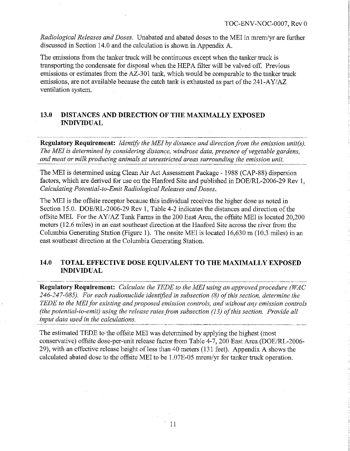*Radiological Releases and Doses.* Unabated and abated doses to the MEI in mrem/yr are further discussed in Section 14.0 and the calculation is shown in Appendix A.

The emissions from the tanker truck will be continuous except when the tanker truck is transporting the condensate for disposal when the HEP A filter will be valved off. Previous emissions or estimates from the AZ-301 tank, which would be comparable to the tanker truck emissions, are not available because the catch tank is exhausted as part of the 241-AY/AZ ventilation system.

#### **13.0 DISTANCES AND DIRECTION OF THE MAXIMALLY EXPOSED INDIVIDUAL**

------- ------------------------ -- -------- -------------------------------- -·· .. \_\_\_\_\_\_\_ ,, \_\_\_ \_ **Regulatory Requirement:** *Identify the MEI by distance and direction from the emission unit(s). The MEI is determined by considering distance, windrose data, presence of vegetable gardens, and meat or milk producing animals at unrestricted areas surrounding the emission unit.* 

The MEI is determined using Clean Air Act Assessment Package - 1988 (CAP-88) dispersion factors, which are derived for use on the Hanford Site and published in DOE/RL-2006-29 Rev 1, *Calculating Potential-to-Emit Radiological Releases and Doses.* 

The MEI is the offsite receptor because this individual receives the higher dose as noted in Section 15.0. DOE/RL-2006-29 Rev 1, Table 4-2 indicates the distances and direction of the offsite MEL For the AY/AZ Tank Farms in the 200 East Area, the offsite MEI is located 20,200 meters (12.6 miles) in an east southeast direction at the Hanford Site across the river from the Columbia Generating Station (Figure 1). The onsite MEI is located 16,630 m (10.3 miles) in an east southeast direction at the Columbia Generating Station.

### **14.0 TOTAL EFFECTIVE DOSE EQUIVALENT TO THE MAXIMALLY EXPOSED INDIVIDUAL**

**Regulatory Requirement:** *Calculate the TEDE to the MEI using an approved procedure (WAC 246-247-085). For each radionuclide ident/fied in subsection (8) of this section, determine the TEDE to the MEI for existing and proposed emission controls, and without any emission controls (the potential-to-emit) using the release rates from subsection (13) of this section. Provide all input data used in the calculations.* 

The estimated TEDE to the offsite MEI was determined by applying the highest (most conservative) offsite dose-per-unit release factor from Table 4-7, 200 East Area (DOE/RL-2006- 29), with an effective release height of less than 40 meters (131 feet). Appendix A shows the calculated abated dose to the offsite MEI to be 1.07E-05 mrem/yr for tanker truck operation.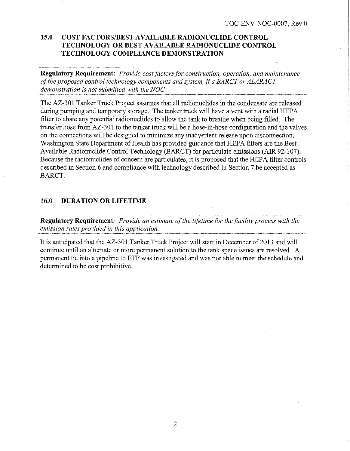## **15.0 COST FACTORS/BEST AVAILABLE RADIONUCLIDE CONTROL TECHNOLOGY OR BEST AVAILABLE RADIONUCLIDE CONTROL TECHNOLOGY COMPLIANCE DEMONSTRATION**

**Regulatory Requirement:** *Provide cost factors for construction, operation, and maintenance of the proposed control technology components and system, if a BARCT or ALARACT demonstration is not submitted with the NOC.* 

The AZ-301 Tanker Truck Project assumes that all radionuclides in the condensate are released during pumping and temporary storage. The tanker truck will have a vent with a radial HEP A filter to abate any potential radionuclides to allow the tank to breathe when being filled. The transfer hose from AZ-301 to the tanker truck will be a hose-in-hose configuration and the valves on the connections will be designed to minimize any inadvertent release upon disconnection. Washington State Department of Health has provided guidance that HEPA filters are the Best Available Radionuclide Control Technology (BARCT) for particulate emissions (AIR 92-107). Because the radionuclides of concern are particulates, it is proposed that the HEPA filter controls described in Section 6 and compliance with technology described in Section 7 be accepted as BARCT.

#### **16.0 DURATION OR LIFETIME**

**Regulatory Requirement:** *Provide an estimate of the lifetime for the facility process with the emission rates provided in this application.* 

It is anticipated that the AZ-301 Tanker Truck Project will start in December of 2013 and will continue until an alternate or more permanent solution to the tank space issues are resolved. A permanent tie into a pipeline to ETF was investigated and was not able to meet the schedule and determined to be cost prohibitive.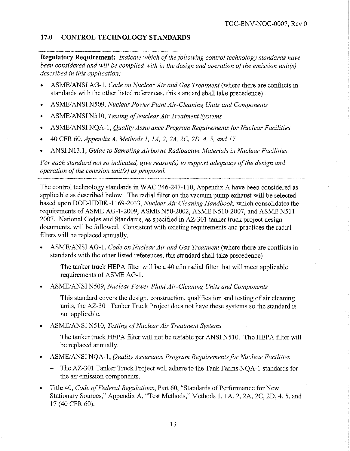#### **17.0 CONTROL TECHNOLOGY STANDARDS**

**Regulatory Requirement:** *Indicate which of the following control technology standards have been considered and will be complied with in the design and operation of the emission unit(s) described in this application:* 

- ASME/ANSI AG-1, *Code on Nuclear Air and Gas Treatment* (where there are conflicts in standards with the other listed references, this standard shall take precedence)
- ASME/ANSI N509, *Nuclear Power Plant Air-Cleaning Units and Components*
- ASME/ANSI N510, *Testing of Nuclear Air Treatment Systems*
- ASME/ ANSI NQA-1, *Quality Assurance Program Requirements for Nuclear Facilities*
- 40 CPR 60, *Appendix A, Methods 1, lA, 2, 2A, 2C, 2D, 4, 5, and 17*
- ANSI N13.l, *Guide to Sampling Airborne Radioactive Materials in Nuclear Facilities.*

*For each standard not so indicated, give reason(s) to support adequacy of the design and operation of the emission unit(s) as proposed.*   $\frac{1}{\sqrt{1-\frac{1}{\sqrt{1-\frac{1}{\sqrt{1-\frac{1}{\sqrt{1-\frac{1}{\sqrt{1-\frac{1}{\sqrt{1-\frac{1}{\sqrt{1-\frac{1}{\sqrt{1-\frac{1}{\sqrt{1-\frac{1}{\sqrt{1-\frac{1}{\sqrt{1-\frac{1}{\sqrt{1-\frac{1}{\sqrt{1-\frac{1}{\sqrt{1-\frac{1}{\sqrt{1-\frac{1}{\sqrt{1-\frac{1}{\sqrt{1-\frac{1}{\sqrt{1-\frac{1}{\sqrt{1-\frac{1}{\sqrt{1-\frac{1}{\sqrt{1-\frac{1}{\sqrt{1-\frac{1}{\sqrt{1-\frac{1}{\sqrt{1-\frac{1$ 

The control technology standards in WAC 246-247-110, Appendix A have been considered as applicable as described below. The radial filter on the vacuum pump exhaust will be selected based upon DOE-HDBK-1169-2033, *Nuclear Air Cleaning Handbook,* which consolidates the requirements of ASME AG-1-2009, ASME N50-2002, ASME N510-2007, and ASME N511- 2007. National Codes and Standards, as specified in AZ-301 tanker truck project design documents, will be followed. Consistent with existing requirements and practices the radial filters will be replaced annually.

- ASME/ ANSI AG-I, *Code on Nuclear Air and Gas Treatment* (where there are conflicts in standards with the other listed references, this standard shall take precedence)
	- The tanker truck HEPA filter will be a 40 cfm radial filter that will meet applicable requirements of ASME AG-I.
- ASME/ANSI N509, *Nuclear Power Plant Air-Cleaning Units and Components* 
	- This standard covers the design, construction, qualification and testing of air cleaning units, the AZ-301 Tanker Truck Project does not have these systems so the standard is not applicable.
- ASME/ ANSI N 510, *Testing of Nuclear Air Treatment Systems* 
	- The tanker truck HEPA filter will not be testable per ANSI N510. The HEPA filter will be replaced annually.
- ASME/ANSI NQA-1, *Quality Assurance Program Requirements for Nuclear Facilities* 
	- The AZ-301 Tanker Truck Project will adhere to the Tank Farms NQA-1 standards for the air emission components.
- Title 40, *Code of Federal Regulations,* Part 60, "Standards of Performance for New Stationary Sources," Appendix A, "Test Methods," Methods I, IA, 2, 2A, 2C, 2D, 4, 5, and 17 (40 CPR 60).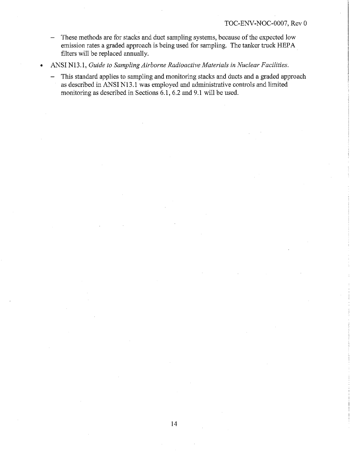- These methods are for stacks and duct sampling systems, because of the expected low emission rates a graded approach is being used for sampling. The tanker truck HEP A filters will be replaced annually.
- ANSI Nl3. l, *Guide to Sampling Airborne Radioactive Materials in Nuclear Facilities.* 
	- This standard applies to sampling and monitoring stacks and ducts and a graded approach as described in ANSI N13.1 was employed and administrative controls and limited monitoring as described in Sections 6.1, 6.2 and 9.1 will be used.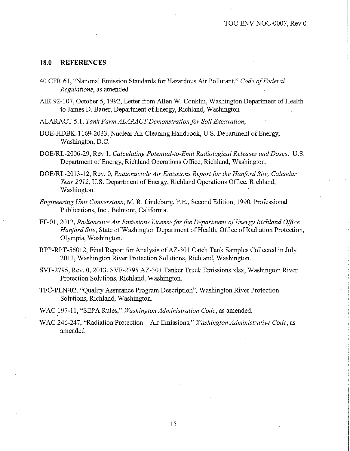#### **18.0 REFERENCES**

- 40 CFR 61, "National Emission Standards for Hazardous Air Pollutant," *Code of Federal Regulations,* as amended
- AIR 92-107, October 5, 1992, Letter from Allen W. Conklin, Washington Department of Health to James D. Bauer, Department of Energy, Richland, Washington
- ALARACT 5.1, *Tank Farm ALARACT Demonstration for Soil Excavation,*
- DOE-HDBK-1169-2033, Nuclear Air Cleaning Handbook, U.S. Department of Energy, Washington, D.C.
- DOE/RL-2006-29, Rev 1, *Calculating Potential-to-Emit Radiological Releases and Doses,* U.S. Department of Energy, Richland Operations Office, Richland, Washington.
- DOE/RL-2013-12, Rev. 0, *Radionuclide Air Emissions Report for the Hanford Site, Calendar Year 2012,* U.S. Department of Energy, Richland Operations Office, Richland, Washington.
- *Engineering Unit Conversions,* M. R. Lindeburg, P.E., Second Edition, 1990, Professional Publications, Inc., Belmont, California.
- FF-01, 2012, *Radioactive Air Emissions License for the Department of Energy Richland Office Hanford Site,* State of Washington Department of Health, Office of Radiation Protection, Olympia, Washington.
- RPP-RPT-56012, Final Report for Analysis of AZ-301 Catch Tank Samples Collected in July 2013, Washington River Protection Solutions, Richland, Washington.
- SVF-2795, Rev. 0, 2013, SVF-2795 AZ-301 Tanker Truck Emissions.xlsx, Washington River Protection Solutions, Richland, Washington.
- TFC-PLN-02, "Quality Assurance Program Description", Washington River Protection Solutions, Richland, Washington.
- WAC 197-11, "SEPA Rules," *Washington Administration Code,* as amended.
- WAC 246-247, "Radiation Protection -Air Emissions," *Washington Administrative Code,* as amended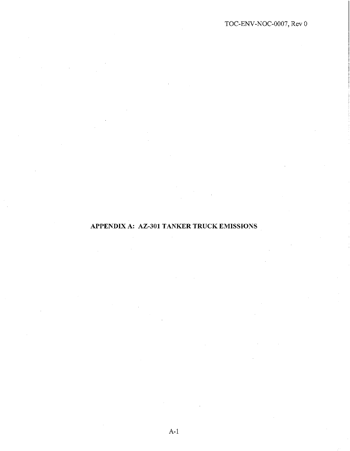**APPENDIX A: AZ-301 TANKER TRUCK EMISSIONS**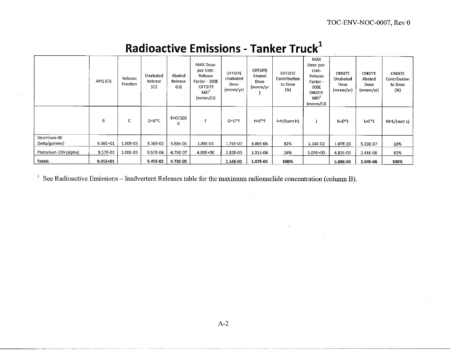|                       | APQ (Ci) | Release<br>Fraction | Unabated<br>Release<br>(C1) | Abated<br>Release<br>(Ci) | MAX Dose-<br>per-Unit-<br>Release<br>Factor - 200E<br><b>OFFSITE</b><br>MEI <sup>2</sup><br>(mrem/Ci) | OFFSITE<br>Unabated<br>Dose<br>(mrem/yr) | <b>OFFSITE</b><br>Abated<br>Dose<br>(mrem/yr | OFFSITE<br>Contribution<br>to Dose<br>(%) | MAX<br>Dose-per-<br>Unit-<br>Release<br>Factor -<br>200E<br><b>ONSITE</b><br>MEI <sup>-</sup><br>(mrem/Ci) | <b>ONSITE</b><br>Unabated<br>Dose<br>(mrem/yr) | <b>ONSITE</b><br>Abated<br>Dose<br>(mrem/yr) | <b>ONSITE</b><br>Contribution<br>to Dose<br>(%) |
|-----------------------|----------|---------------------|-----------------------------|---------------------------|-------------------------------------------------------------------------------------------------------|------------------------------------------|----------------------------------------------|-------------------------------------------|------------------------------------------------------------------------------------------------------------|------------------------------------------------|----------------------------------------------|-------------------------------------------------|
|                       | В        | C                   | $D = B^*C$                  | $E=D/200$<br>0            |                                                                                                       | $G = D^*F$                               | $H=E^*F$                                     | $I=H/(sum H)$                             |                                                                                                            | K=D*J                                          | L=E*J                                        | $M=L/(sum L)$                                   |
| Strontium-90          |          |                     |                             |                           |                                                                                                       |                                          |                                              |                                           |                                                                                                            |                                                |                                              |                                                 |
| (beta/gamma)          | 9.36E+01 | 1.00E-03            | 9.36E-02                    | 4.68E-05                  | 1.88E-01                                                                                              | 1.76E-02                                 | 8.80E-06                                     | 82%                                       | 1.14E-02                                                                                                   | 1.07E-03                                       | 5.33E-07                                     | 18%                                             |
| Plutonium-239 (alpha) | 9.57E-01 | 1.00E-03            | 9.57E-04                    | 4.79E-07                  | 4.00E+00                                                                                              | 3.83E-03                                 | 1.91E-06                                     | 18%                                       | 5.03E+00                                                                                                   | 4.82E-03                                       | 2.41E-06                                     | 82%                                             |
| Totals                | 9.45E+01 |                     | 9.45E-02                    | 4.73E-05                  |                                                                                                       | 2.14E-02                                 | 1.07E-05                                     | 100%                                      |                                                                                                            | 5.88E-03                                       | 2.94E-06                                     | 100%                                            |

## **Radioactive Emissions - Tanker Truck<sup>1</sup>**

<sup>1</sup> See Radioactive Emissions – Inadvertent Releases table for the maximum radionuclide concentration (column B).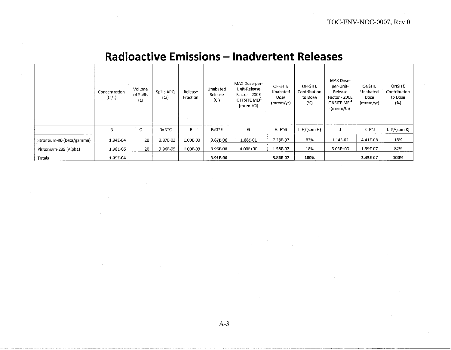|                           | Concentration<br>(C <sub>i</sub> /L) | Volume<br>of Spills<br>(L) | Spills APQ<br>(Ci) | Release<br>Fraction | Unabated<br>Release<br>(Ci) | MAX Dose-per-<br>Unit-Release<br>Factor - 200E<br>OFFSITE MEI <sup>+</sup><br>(mrem/Ci) | <b>OFFSITE</b><br>Unabated<br>Dose<br>(mrem/yr) | <b>OFFSITE</b><br>Contribution<br>to Dose<br>(%) | MAX Dose-<br>per-Unit-<br>Release<br>Factor - 200E<br>ONSITE MEI <sup>-</sup><br>(mrem/Ci) | <b>ONSITE</b><br>Unabated<br>Dose<br>(mrem/yr) | <b>ONSITE</b><br>Contribution<br>to Dose<br>(%) |
|---------------------------|--------------------------------------|----------------------------|--------------------|---------------------|-----------------------------|-----------------------------------------------------------------------------------------|-------------------------------------------------|--------------------------------------------------|--------------------------------------------------------------------------------------------|------------------------------------------------|-------------------------------------------------|
|                           | B                                    | C                          | $D=B^*C$           | E.                  | $F = D^*E$                  | G                                                                                       | $H = F^*G$                                      | $I=H/(sum H)$                                    |                                                                                            | $K = F * J$                                    | $L=K/(sum K)$                                   |
| Strontium-90 (beta/gamma) | 1.94E-04                             | 20                         | 3.87E-03           | 1,00E-03            | 3.87E-06                    | 1.88E-01                                                                                | 7.28E-07                                        | 82%                                              | 1.14E-02                                                                                   | 4.41E-08                                       | 18%                                             |
| Plutonium-239 (Alpha)     | 1.98E-06                             | 20                         | 3.96E-05           | 1.00E-03            | 3.96E-08                    | 4.00E+00                                                                                | 1.58E-07                                        | 18%                                              | 5.03E+00                                                                                   | 1.99E-07                                       | 82%                                             |
| <b>Totals</b>             | 1.95E-04                             |                            |                    |                     | 3.91E-06                    |                                                                                         | 8.86E-07                                        | 100%                                             |                                                                                            | 2.43E-07                                       | 100%                                            |

## **Radioactive Emissions - Inadvertent Releases**